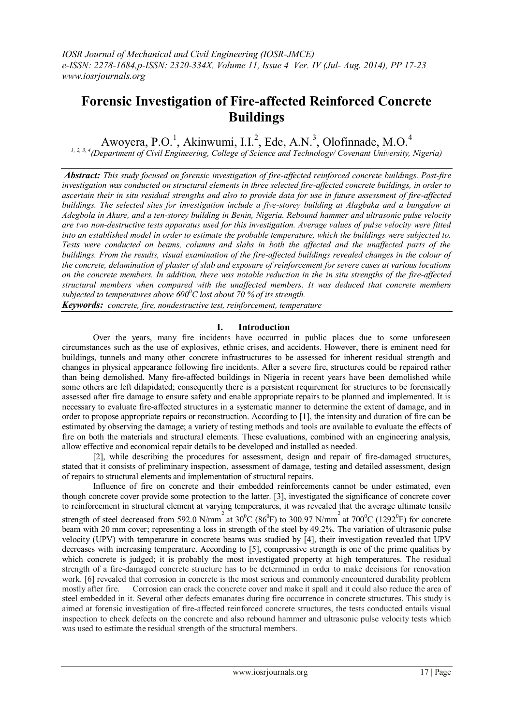# **Forensic Investigation of Fire-affected Reinforced Concrete Buildings**

Awoyera, P.O.<sup>1</sup>, Akinwumi, I.I.<sup>2</sup>, Ede, A.N.<sup>3</sup>, Olofinnade, M.O.<sup>4</sup>

*1, 2, 3, 4(Department of Civil Engineering, College of Science and Technology/ Covenant University, Nigeria)*

*Abstract: This study focused on forensic investigation of fire-affected reinforced concrete buildings. Post-fire investigation was conducted on structural elements in three selected fire-affected concrete buildings, in order to ascertain their in situ residual strengths and also to provide data for use in future assessment of fire-affected buildings. The selected sites for investigation include a five-storey building at Alagbaka and a bungalow at Adegbola in Akure, and a ten-storey building in Benin, Nigeria. Rebound hammer and ultrasonic pulse velocity are two non-destructive tests apparatus used for this investigation. Average values of pulse velocity were fitted into an established model in order to estimate the probable temperature, which the buildings were subjected to. Tests were conducted on beams, columns and slabs in both the affected and the unaffected parts of the buildings. From the results, visual examination of the fire-affected buildings revealed changes in the colour of the concrete, delamination of plaster of slab and exposure of reinforcement for severe cases at various locations on the concrete members. In addition, there was notable reduction in the in situ strengths of the fire-affected structural members when compared with the unaffected members. It was deduced that concrete members subjected to temperatures above 600<sup>0</sup>C lost about 70 % of its strength.*

*Keywords: concrete, fire, nondestructive test, reinforcement, temperature*

## **I. Introduction**

Over the years, many fire incidents have occurred in public places due to some unforeseen circumstances such as the use of explosives, ethnic crises, and accidents. However, there is eminent need for buildings, tunnels and many other concrete infrastructures to be assessed for inherent residual strength and changes in physical appearance following fire incidents. After a severe fire, structures could be repaired rather than being demolished. Many fire-affected buildings in Nigeria in recent years have been demolished while some others are left dilapidated; consequently there is a persistent requirement for structures to be forensically assessed after fire damage to ensure safety and enable appropriate repairs to be planned and implemented. It is necessary to evaluate fire-affected structures in a systematic manner to determine the extent of damage, and in order to propose appropriate repairs or reconstruction. According to [1], the intensity and duration of fire can be estimated by observing the damage; a variety of testing methods and tools are available to evaluate the effects of fire on both the materials and structural elements. These evaluations, combined with an engineering analysis, allow effective and economical repair details to be developed and installed as needed.

[2], while describing the procedures for assessment, design and repair of fire-damaged structures, stated that it consists of preliminary inspection, assessment of damage, testing and detailed assessment, design of repairs to structural elements and implementation of structural repairs.

Influence of fire on concrete and their embedded reinforcements cannot be under estimated, even though concrete cover provide some protection to the latter. [3], investigated the significance of concrete cover to reinforcement in structural element at varying temperatures, it was revealed that the average ultimate tensile

strength of steel decreased from 592.0 N/mm<sup>2</sup> at 30<sup>o</sup>C (86<sup>o</sup>F) to 300.97 N/mm<sup>2</sup> at 700<sup>o</sup>C (1292<sup>o</sup>F) for concrete beam with 20 mm cover; representing a loss in strength of the steel by 49.2%. The variation of ultrasonic pulse velocity (UPV) with temperature in concrete beams was studied by [4], their investigation revealed that UPV decreases with increasing temperature. According to [5], compressive strength is one of the prime qualities by which concrete is judged; it is probably the most investigated property at high temperatures. The residual strength of a fire-damaged concrete structure has to be determined in order to make decisions for renovation work. [6] revealed that corrosion in concrete is the most serious and commonly encountered durability problem mostly after fire. Corrosion can crack the concrete cover and make it spall and it could also reduce the area of steel embedded in it. Several other defects emanates during fire occurrence in concrete structures. This study is aimed at forensic investigation of fire-affected reinforced concrete structures, the tests conducted entails visual inspection to check defects on the concrete and also rebound hammer and ultrasonic pulse velocity tests which was used to estimate the residual strength of the structural members.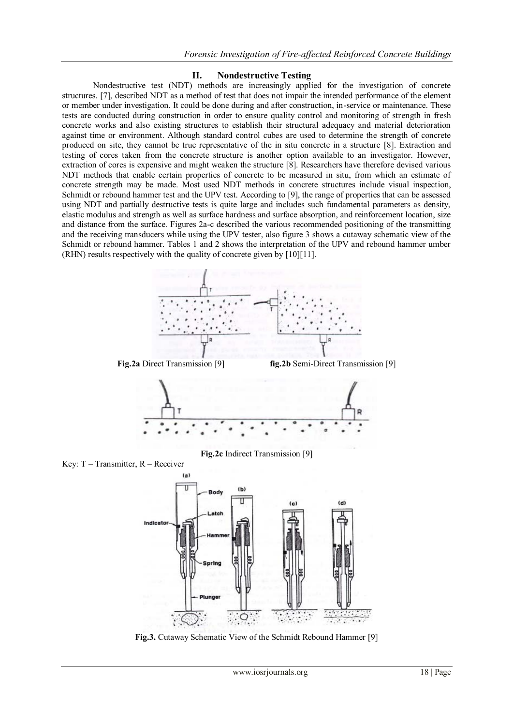#### **II. Nondestructive Testing**

Nondestructive test (NDT) methods are increasingly applied for the investigation of concrete structures. [7], described NDT as a method of test that does not impair the intended performance of the element or member under investigation. It could be done during and after construction, in-service or maintenance. These tests are conducted during construction in order to ensure quality control and monitoring of strength in fresh concrete works and also existing structures to establish their structural adequacy and material deterioration against time or environment. Although standard control cubes are used to determine the strength of concrete produced on site, they cannot be true representative of the in situ concrete in a structure [8]. Extraction and testing of cores taken from the concrete structure is another option available to an investigator. However, extraction of cores is expensive and might weaken the structure [8]. Researchers have therefore devised various NDT methods that enable certain properties of concrete to be measured in situ, from which an estimate of concrete strength may be made. Most used NDT methods in concrete structures include visual inspection, Schmidt or rebound hammer test and the UPV test. According to [9], the range of properties that can be assessed using NDT and partially destructive tests is quite large and includes such fundamental parameters as density, elastic modulus and strength as well as surface hardness and surface absorption, and reinforcement location, size and distance from the surface. Figures 2a-c described the various recommended positioning of the transmitting and the receiving transducers while using the UPV tester, also figure 3 shows a cutaway schematic view of the Schmidt or rebound hammer. Tables 1 and 2 shows the interpretation of the UPV and rebound hammer umber (RHN) results respectively with the quality of concrete given by [10][11].



**Fig.3.** Cutaway Schematic View of the Schmidt Rebound Hammer [9]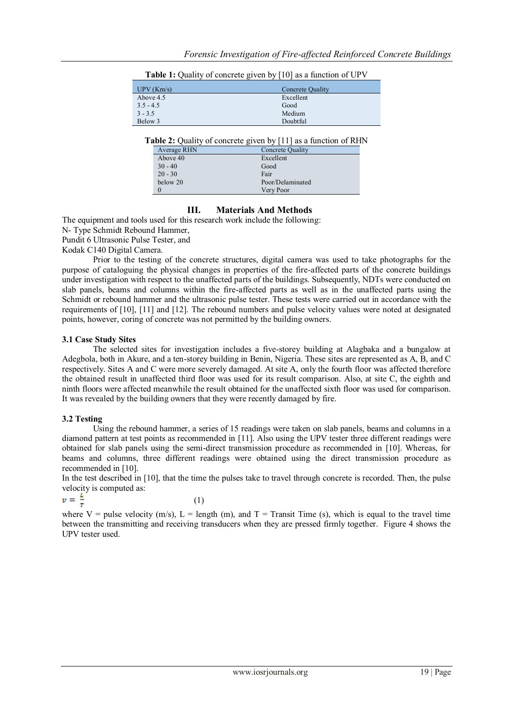| UPV(Km/s)   | Concrete Quality |
|-------------|------------------|
| Above 4.5   | Excellent        |
| $3.5 - 4.5$ | Good             |
| $3 - 3.5$   | Medium           |
| Below 3     | Doubtful         |
|             |                  |

**Table 1:** Quality of concrete given by [10] as a function of UPV

**Table 2:** Quality of concrete given by [11] as a function of RHN

| Average RHN | Concrete Quality |
|-------------|------------------|
| Above 40    | Excellent        |
| $30 - 40$   | Good             |
| $20 - 30$   | Fair             |
| below 20    | Poor/Delaminated |
|             | Very Poor        |

## **III. Materials And Methods**

The equipment and tools used for this research work include the following:

N- Type Schmidt Rebound Hammer,

Pundit 6 Ultrasonic Pulse Tester, and

Kodak C140 Digital Camera.

Prior to the testing of the concrete structures, digital camera was used to take photographs for the purpose of cataloguing the physical changes in properties of the fire-affected parts of the concrete buildings under investigation with respect to the unaffected parts of the buildings. Subsequently, NDTs were conducted on slab panels, beams and columns within the fire-affected parts as well as in the unaffected parts using the Schmidt or rebound hammer and the ultrasonic pulse tester. These tests were carried out in accordance with the requirements of [10], [11] and [12]. The rebound numbers and pulse velocity values were noted at designated points, however, coring of concrete was not permitted by the building owners.

#### **3.1 Case Study Sites**

The selected sites for investigation includes a five-storey building at Alagbaka and a bungalow at Adegbola, both in Akure, and a ten-storey building in Benin, Nigeria. These sites are represented as A, B, and C respectively. Sites A and C were more severely damaged. At site A, only the fourth floor was affected therefore the obtained result in unaffected third floor was used for its result comparison. Also, at site C, the eighth and ninth floors were affected meanwhile the result obtained for the unaffected sixth floor was used for comparison. It was revealed by the building owners that they were recently damaged by fire.

#### **3.2 Testing**

Using the rebound hammer, a series of 15 readings were taken on slab panels, beams and columns in a diamond pattern at test points as recommended in [11]. Also using the UPV tester three different readings were obtained for slab panels using the semi-direct transmission procedure as recommended in [10]. Whereas, for beams and columns, three different readings were obtained using the direct transmission procedure as recommended in [10].

In the test described in [10], that the time the pulses take to travel through concrete is recorded. Then, the pulse velocity is computed as:

$$
v = \frac{L}{T} \tag{1}
$$

where V = pulse velocity (m/s), L = length (m), and  $T =$  Transit Time (s), which is equal to the travel time between the transmitting and receiving transducers when they are pressed firmly together. Figure 4 shows the UPV tester used.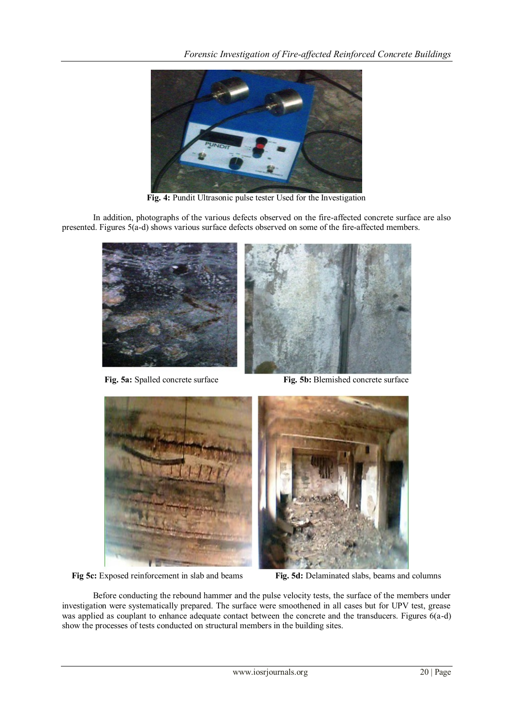

**Fig. 4:** Pundit Ultrasonic pulse tester Used for the Investigation

In addition, photographs of the various defects observed on the fire-affected concrete surface are also presented. Figures 5(a-d) shows various surface defects observed on some of the fire-affected members.





**Fig. 5a:** Spalled concrete surface **Fig. 5b:** Blemished concrete surface



**Fig 5c:** Exposed reinforcement in slab and beams **Fig. 5d:** Delaminated slabs, beams and columns

Before conducting the rebound hammer and the pulse velocity tests, the surface of the members under investigation were systematically prepared. The surface were smoothened in all cases but for UPV test, grease was applied as couplant to enhance adequate contact between the concrete and the transducers. Figures 6(a-d) show the processes of tests conducted on structural members in the building sites.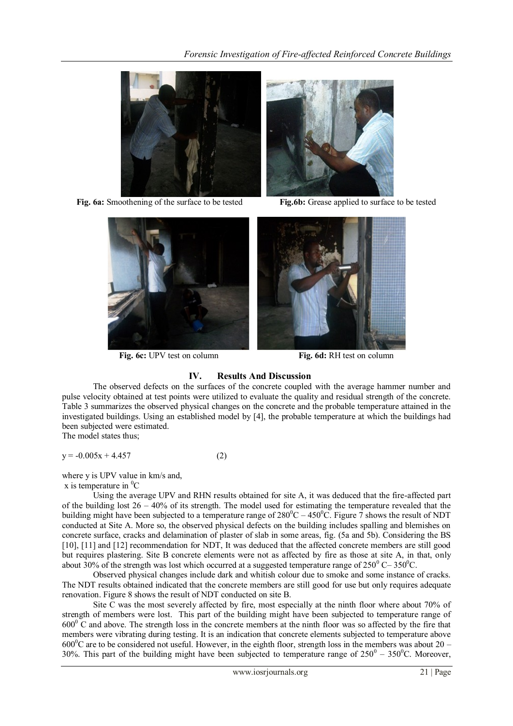

**Fig. 6a:** Smoothening of the surface to be tested **Fig.6b:** Grease applied to surface to be tested





**Fig. 6c:** UPV test on column **Fig. 6d:** RH test on column



# **IV. Results And Discussion**

The observed defects on the surfaces of the concrete coupled with the average hammer number and pulse velocity obtained at test points were utilized to evaluate the quality and residual strength of the concrete. Table 3 summarizes the observed physical changes on the concrete and the probable temperature attained in the investigated buildings. Using an established model by [4], the probable temperature at which the buildings had been subjected were estimated.

The model states thus;

$$
y = -0.005x + 4.457
$$
 (2)

where y is UPV value in km/s and,

x is temperature in  ${}^{0}C$ 

Using the average UPV and RHN results obtained for site A, it was deduced that the fire-affected part of the building lost  $26 - 40\%$  of its strength. The model used for estimating the temperature revealed that the building might have been subjected to a temperature range of  $280^{\circ}C - 450^{\circ}C$ . Figure 7 shows the result of NDT conducted at Site A. More so, the observed physical defects on the building includes spalling and blemishes on concrete surface, cracks and delamination of plaster of slab in some areas, fig. (5a and 5b). Considering the BS [10], [11] and [12] recommendation for NDT, It was deduced that the affected concrete members are still good but requires plastering. Site B concrete elements were not as affected by fire as those at site A, in that, only about 30% of the strength was lost which occurred at a suggested temperature range of  $250^{\circ}$  C–  $350^{\circ}$ C.

Observed physical changes include dark and whitish colour due to smoke and some instance of cracks. The NDT results obtained indicated that the concrete members are still good for use but only requires adequate renovation. Figure 8 shows the result of NDT conducted on site B.

Site C was the most severely affected by fire, most especially at the ninth floor where about 70% of strength of members were lost. This part of the building might have been subjected to temperature range of  $600^{\circ}$  C and above. The strength loss in the concrete members at the ninth floor was so affected by the fire that members were vibrating during testing. It is an indication that concrete elements subjected to temperature above  $600^{\circ}$ C are to be considered not useful. However, in the eighth floor, strength loss in the members was about 20 – 30%. This part of the building might have been subjected to temperature range of  $250^{\circ} - 350^{\circ}$ C. Moreover,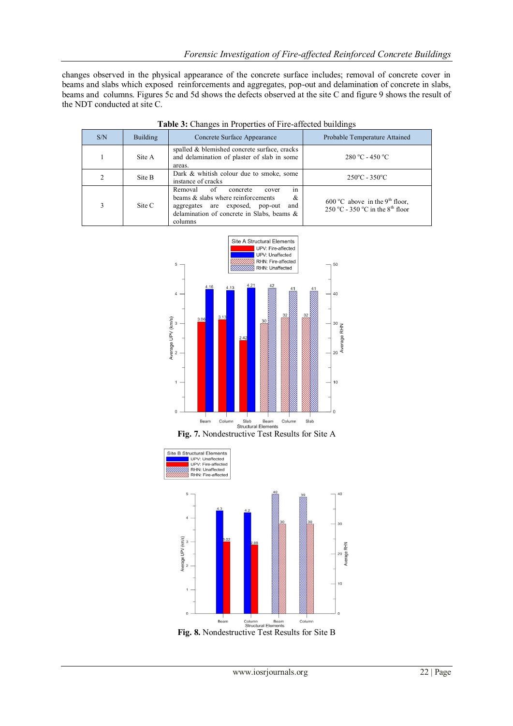changes observed in the physical appearance of the concrete surface includes; removal of concrete cover in beams and slabs which exposed reinforcements and aggregates, pop-out and delamination of concrete in slabs, beams and columns. Figures 5c and 5d shows the defects observed at the site C and figure 9 shows the result of the NDT conducted at site C.

| S/N | <b>Building</b> | Concrete Surface Appearance                                                                                                                                                            | Probable Temperature Attained                                                             |
|-----|-----------------|----------------------------------------------------------------------------------------------------------------------------------------------------------------------------------------|-------------------------------------------------------------------------------------------|
|     | Site A          | spalled & blemished concrete surface, cracks<br>and delamination of plaster of slab in some<br>areas.                                                                                  | $280 °C - 450 °C$                                                                         |
|     | Site B          | Dark & whitish colour due to smoke, some<br>instance of cracks                                                                                                                         | $250^{\circ}$ C - 350 $^{\circ}$ C                                                        |
| 3   | Site C          | of<br>Removal<br>in<br>concrete<br>cover<br>beams & slabs where reinforcements<br>&<br>aggregates are exposed, pop-out<br>and<br>delamination of concrete in Slabs, beams &<br>columns | $600^{\circ}$ C above in the 9 <sup>th</sup> floor,<br>250 °C - 350 °C in the $8th$ floor |

|  |  |  | Table 3: Changes in Properties of Fire-affected buildings |  |
|--|--|--|-----------------------------------------------------------|--|
|--|--|--|-----------------------------------------------------------|--|



**Fig. 7.** Nondestructive Test Results for Site A